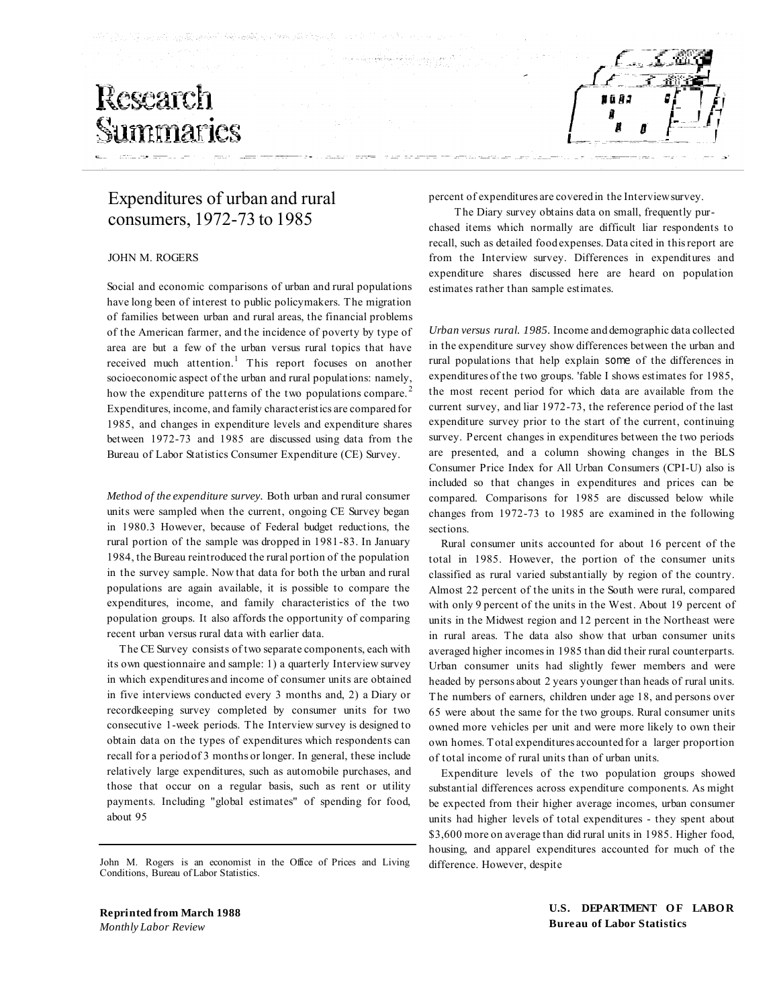# Research Summaries



### Expenditures of urban and rural consumers, 1972-73 to 1985

#### JOHN M. ROGERS

Social and economic comparisons of urban and rural populations have long been of interest to public policymakers. The migration of families between urban and rural areas, the financial problems of the American farmer, and the incidence of poverty by type of area are but a few of the urban versus rural topics that have received much attention.<sup>1</sup> This report focuses on another socioeconomic aspect of the urban and rural populations: namely, how the expenditure patterns of the two populations compare.<sup>2</sup> Expenditures, income, and family characteristics are compared for 1985, and changes in expenditure levels and expenditure shares between 1972-73 and 1985 are discussed using data from the Bureau of Labor Statistics Consumer Expenditure (CE) Survey.

*Method of the expenditure survey.* Both urban and rural consumer units were sampled when the current, ongoing CE Survey began in 1980.3 However, because of Federal budget reductions, the rural portion of the sample was dropped in 1981-83. In January 1984, the Bureau reintroduced the rural portion of the population in the survey sample. Now that data for both the urban and rural populations are again available, it is possible to compare the expenditures, income, and family characteristics of the two population groups. It also affords the opportunity of comparing recent urban versus rural data with earlier data.

The CE Survey consists of two separate components, each with its own questionnaire and sample: 1) a quarterly Interview survey in which expenditures and income of consumer units are obtained in five interviews conducted every 3 months and, 2) a Diary or recordkeeping survey completed by consumer units for two consecutive 1-week periods. The Interview survey is designed to obtain data on the types of expenditures which respondents can recall for a period of 3 months or longer. In general, these include relatively large expenditures, such as automobile purchases, and those that occur on a regular basis, such as rent or utility payments. Including "global estimates" of spending for food, about 95

John M. Rogers is an economist in the Office of Prices and Living Conditions, Bureau of Labor Statistics.

percent of expenditures are covered in the Interview survey.

The Diary survey obtains data on small, frequently purchased items which normally are difficult liar respondents to recall, such as detailed food expenses. Data cited in this report are from the Interview survey. Differences in expenditures and expenditure shares discussed here are heard on population estimates rather than sample estimates.

*Urban versus rural. 1985.* Income and demographic data collected in the expenditure survey show differences between the urban and rural populations that help explain some of the differences in expenditures of the two groups. 'fable I shows estimates for 1985, the most recent period for which data are available from the current survey, and liar 1972-73, the reference period of the last expenditure survey prior to the start of the current, continuing survey. Percent changes in expenditures between the two periods are presented, and a column showing changes in the BLS Consumer Price Index for All Urban Consumers (CPI-U) also is included so that changes in expenditures and prices can be compared. Comparisons for 1985 are discussed below while changes from 1972-73 to 1985 are examined in the following sections.

Rural consumer units accounted for about 16 percent of the total in 1985. However, the portion of the consumer units classified as rural varied substantially by region of the country. Almost 22 percent of the units in the South were rural, compared with only 9 percent of the units in the West. About 19 percent of units in the Midwest region and 12 percent in the Northeast were in rural areas. The data also show that urban consumer units averaged higher incomes in 1985 than did their rural counterparts. Urban consumer units had slightly fewer members and were headed by persons about 2 years younger than heads of rural units. The numbers of earners, children under age 18, and persons over 65 were about the same for the two groups. Rural consumer units owned more vehicles per unit and were more likely to own their own homes. Total expenditures accounted for a larger proportion of total income of rural units than of urban units.

Expenditure levels of the two population groups showed substantial differences across expenditure components. As might be expected from their higher average incomes, urban consumer units had higher levels of total expenditures - they spent about \$3,600 more on average than did rural units in 1985. Higher food, housing, and apparel expenditures accounted for much of the difference. However, despite

**Reprinted from March 1988** *Monthly Labor Review*

**U.S. DEPARTMENT OF LABOR Bureau of Labor Statistics**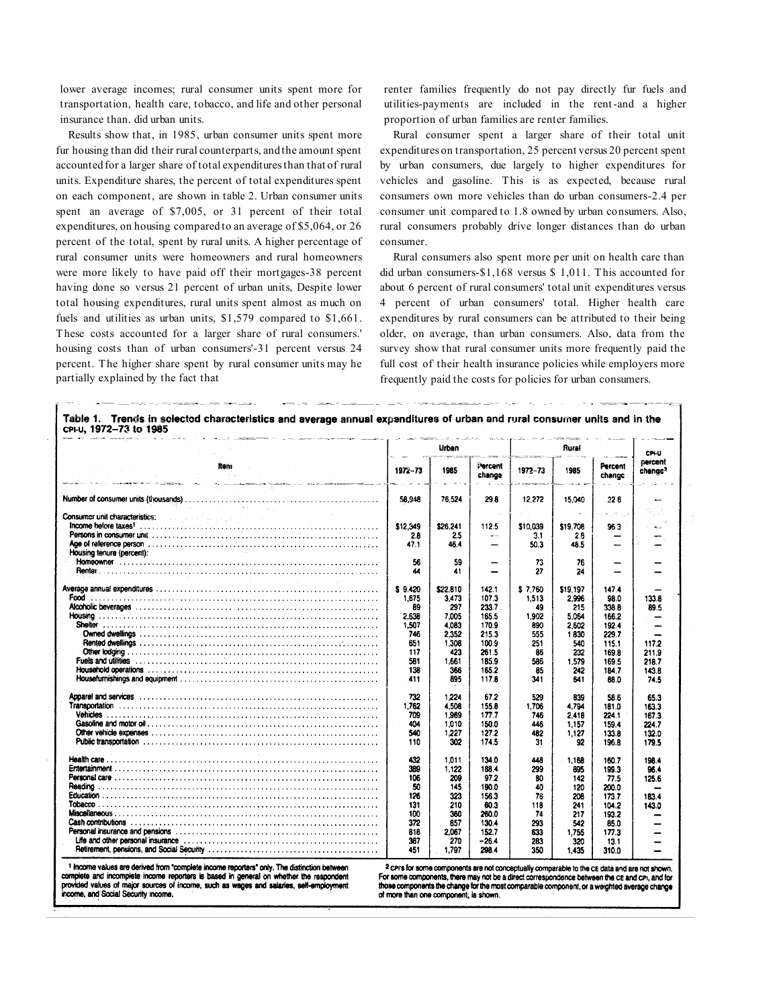lower average incomes; rural consumer units spent more for transportation, health care, tobacco, and life and other personal insurance than. did urban units.

Results show that, in 1985, urban consumer units spent more fur housing than did their rural counterparts, and the amount spent accounted for a larger share of total expenditures than that of rural units. Expenditure shares, the percent of total expenditures spent on each component, are shown in table 2. Urban consumer units spent an average of \$7,005, or 31 percent of their total expenditures, on housing compared to an average of \$5,064, or 26 percent of the total, spent by rural units. A higher percentage of rural consumer units were homeowners and rural homeowners were more likely to have paid off their mortgages-38 percent having done so versus 21 percent of urban units, Despite lower total housing expenditures, rural units spent almost as much on fuels and utilities as urban units, \$1,579 compared to \$1,661. These costs accounted for a larger share of rural consumers.' housing costs than of urban consumers'-31 percent versus 24 percent. The higher share spent by rural consumer units may he partially explained by the fact that

renter families frequently do not pay directly fur fuels and utilities-payments are included in the rent-and a higher proportion of urban families are renter families.

Rural consumer spent a larger share of their total unit expenditures on transportation, 25 percent versus 20 percent spent by urban consumers, due largely to higher expenditures for vehicles and gasoline. This is as expected, because rural consumers own more vehicles than do urban consumers-2.4 per consumer unit compared to 1.8 owned by urban consumers. Also, rural consumers probably drive longer distances than do urban consumer.

Rural consumers also spent more per unit on health care than did urban consumers-\$1,168 versus \$ 1,011. This accounted for about 6 percent of rural consumers' total unit expenditures versus 4 percent of urban consumers' total. Higher health care expenditures by rural consumers can be attributed to their being older, on average, than urban consumers. Also, data from the survey show that rural consumer units more frequently paid the full cost of their health insurance policies while employers more frequently paid the costs for policies for urban consumers.

‴⊺

|                                                                                                                                                                                                                                                                                                                                                                                                                                                                                                                                  |            | Urban<br>$\sim$<br>.<br>De la provincia de la contexta de la contexta de la contexta de la contexta de la contexta de la contexta de l |                   |           | Rural<br>and the company of the company of |                                           |                                |
|----------------------------------------------------------------------------------------------------------------------------------------------------------------------------------------------------------------------------------------------------------------------------------------------------------------------------------------------------------------------------------------------------------------------------------------------------------------------------------------------------------------------------------|------------|----------------------------------------------------------------------------------------------------------------------------------------|-------------------|-----------|--------------------------------------------|-------------------------------------------|--------------------------------|
| item .<br>the self-control of the                                                                                                                                                                                                                                                                                                                                                                                                                                                                                                | 1972-73    | 1985                                                                                                                                   | Percent<br>change | 1972-73   | 1985                                       | <b>Sales Streets</b><br>Percent<br>change | parcent<br>change <sup>2</sup> |
| <u> Elizabeth Carl Company e de Alemany</u><br>$\label{eq:3} \mathcal{A}_{\mathcal{A}}(\mathcal{A}_{\mathcal{A}}) = \mathcal{A}_{\mathcal{A}}(\mathcal{A}_{\mathcal{A}}) = \mathcal{A}_{\mathcal{A}}(\mathcal{A}_{\mathcal{A}}) = \mathcal{A}_{\mathcal{A}}(\mathcal{A}_{\mathcal{A}}) = \mathcal{A}_{\mathcal{A}}(\mathcal{A}_{\mathcal{A}}) = \mathcal{A}_{\mathcal{A}}(\mathcal{A}_{\mathcal{A}}) = \mathcal{A}_{\mathcal{A}}(\mathcal{A}_{\mathcal{A}}) = \mathcal{A}_{\mathcal{A}}(\mathcal{A}_{\mathcal{A}}) = \mathcal{A$ |            |                                                                                                                                        |                   |           |                                            |                                           |                                |
| <b>Contractor</b>                                                                                                                                                                                                                                                                                                                                                                                                                                                                                                                | 58,948     | 76,524                                                                                                                                 | 29.8              | 12,272    | 15.040                                     | 226                                       | $\sim$                         |
| $\sim 10^{-1}$ k $^{-1}$                                                                                                                                                                                                                                                                                                                                                                                                                                                                                                         |            |                                                                                                                                        |                   |           |                                            |                                           | 传言                             |
|                                                                                                                                                                                                                                                                                                                                                                                                                                                                                                                                  | \$12,349   | \$26.241                                                                                                                               | 112.5             | \$10,039  | \$19,708                                   | 963                                       | $\sim$ 1.2.<br>استعا           |
| <b>Persons in consumer unit</b> $\ldots$ $\ldots$ $\ldots$ $\ldots$ $\ldots$ $\ldots$ $\ldots$ $\ldots$ $\ldots$ $\ldots$ $\ldots$ $\ldots$ $\ldots$ $\ldots$                                                                                                                                                                                                                                                                                                                                                                    | 2.8        | 2.5                                                                                                                                    | $\sim$            | 3.1       | 2.8                                        |                                           |                                |
|                                                                                                                                                                                                                                                                                                                                                                                                                                                                                                                                  | 47.1       | 46.4                                                                                                                                   |                   | 50.3      | 48.5                                       |                                           | --                             |
| Housing tenure (percent):                                                                                                                                                                                                                                                                                                                                                                                                                                                                                                        |            |                                                                                                                                        |                   |           |                                            |                                           |                                |
|                                                                                                                                                                                                                                                                                                                                                                                                                                                                                                                                  | 56         | 59                                                                                                                                     | -                 | 73        | 76                                         |                                           |                                |
|                                                                                                                                                                                                                                                                                                                                                                                                                                                                                                                                  | 44         | 41                                                                                                                                     |                   | 27        | 24                                         |                                           |                                |
|                                                                                                                                                                                                                                                                                                                                                                                                                                                                                                                                  | \$9.420    | \$22,810                                                                                                                               | 142.1             | \$7.760   | \$19.197                                   | 147.4                                     |                                |
|                                                                                                                                                                                                                                                                                                                                                                                                                                                                                                                                  | 1,675      | 3.473                                                                                                                                  | 107.3             | 1,513     | 2.996                                      | 98.0                                      | 133.8                          |
|                                                                                                                                                                                                                                                                                                                                                                                                                                                                                                                                  | 89         | 297                                                                                                                                    | 233.7             | 49        | 215                                        | 338.8                                     | 89.5                           |
|                                                                                                                                                                                                                                                                                                                                                                                                                                                                                                                                  | 2.638      | 7.005                                                                                                                                  | 165.5             | 1.902     | 5.064                                      | 166.2                                     |                                |
|                                                                                                                                                                                                                                                                                                                                                                                                                                                                                                                                  | 1,507      | 4.083                                                                                                                                  | 170.9             | 890       | 2.602                                      | 192.4                                     | ana.                           |
|                                                                                                                                                                                                                                                                                                                                                                                                                                                                                                                                  | 746        | 2.352                                                                                                                                  | 215.3             | 555       | 1.830                                      | 229.7                                     |                                |
|                                                                                                                                                                                                                                                                                                                                                                                                                                                                                                                                  | 651        | 1.308                                                                                                                                  | 100.9             | 251       | 540                                        | 115.1                                     | 117.2                          |
|                                                                                                                                                                                                                                                                                                                                                                                                                                                                                                                                  | 117        | 423                                                                                                                                    | 261.5             | 86        | 232                                        | 169.8                                     | 211.9                          |
|                                                                                                                                                                                                                                                                                                                                                                                                                                                                                                                                  | 581        | 1,661                                                                                                                                  | 185.9             | 586       | 1.579                                      | 169.5                                     | 218.7                          |
|                                                                                                                                                                                                                                                                                                                                                                                                                                                                                                                                  | 138<br>411 | 366<br>895                                                                                                                             | 165.2<br>117.8    | 85<br>341 | 242<br>641                                 | 184.7<br>88.0                             | 143.8<br>74.5                  |
|                                                                                                                                                                                                                                                                                                                                                                                                                                                                                                                                  | 732        | 1.224                                                                                                                                  | 67.2              | 529       | 839                                        | 58.6                                      |                                |
|                                                                                                                                                                                                                                                                                                                                                                                                                                                                                                                                  | 1,762      | 4.508                                                                                                                                  | 155.8             | 1,706     | 4,794                                      | 181.0                                     | 65.3                           |
|                                                                                                                                                                                                                                                                                                                                                                                                                                                                                                                                  | 709        | 1.969                                                                                                                                  | 177.7             | 746       | 2.418                                      | 224.1                                     | 163.3<br>167.3                 |
|                                                                                                                                                                                                                                                                                                                                                                                                                                                                                                                                  | 404        | 1,010                                                                                                                                  | 150.0             | 446       | 1.157                                      | 159.4                                     | 224.7                          |
|                                                                                                                                                                                                                                                                                                                                                                                                                                                                                                                                  | 540        | 1,227                                                                                                                                  | 127.2             | 482       | 1.127                                      | 133.8                                     |                                |
|                                                                                                                                                                                                                                                                                                                                                                                                                                                                                                                                  | 110        | 302                                                                                                                                    | 174.5             | 31        | 92                                         | 196.8                                     | 132.0<br>179.5                 |
|                                                                                                                                                                                                                                                                                                                                                                                                                                                                                                                                  | 432        | 1.011                                                                                                                                  | 134.0             | 448       | 1.168                                      | 160.7                                     | 198.4                          |
|                                                                                                                                                                                                                                                                                                                                                                                                                                                                                                                                  | 389        | 1.122                                                                                                                                  | 188.4             | 299       | 895                                        | 199.3                                     | 96.4                           |
|                                                                                                                                                                                                                                                                                                                                                                                                                                                                                                                                  | 106        | 209                                                                                                                                    | 97.2              | 80        | 142                                        | 77.5                                      | 125.6                          |
|                                                                                                                                                                                                                                                                                                                                                                                                                                                                                                                                  | 50         | 145                                                                                                                                    | 190.0             | 40        | 120                                        | 200.0                                     |                                |
|                                                                                                                                                                                                                                                                                                                                                                                                                                                                                                                                  | 126        | 323                                                                                                                                    | 156.3             | 76        | 208                                        | 173.7                                     | 183.4                          |
|                                                                                                                                                                                                                                                                                                                                                                                                                                                                                                                                  | 131        | 210                                                                                                                                    | 60.3              | 118       | 241                                        | 104.2                                     | 143.0                          |
|                                                                                                                                                                                                                                                                                                                                                                                                                                                                                                                                  | 100        | 360                                                                                                                                    | 260.0             | 74        | 217                                        | 193.2                                     |                                |
|                                                                                                                                                                                                                                                                                                                                                                                                                                                                                                                                  | 372        | 857                                                                                                                                    | 130.4             | 293       | 542                                        | 85.0                                      |                                |
|                                                                                                                                                                                                                                                                                                                                                                                                                                                                                                                                  | 818        | 2,067                                                                                                                                  | 152.7             | 633       | 1.755                                      | 177.3                                     |                                |
| Life and other personal insurance educational contains and container the and other personal insurance of the state of the state of the state of the state of the state of the state of the state of the state of the state of                                                                                                                                                                                                                                                                                                    | 367        | 270                                                                                                                                    | $-26.4$           | 283       | 320                                        | 13.1                                      |                                |
|                                                                                                                                                                                                                                                                                                                                                                                                                                                                                                                                  | 451        | 1,797                                                                                                                                  | 298.4             | 350       | 1,435                                      | 310.0                                     |                                |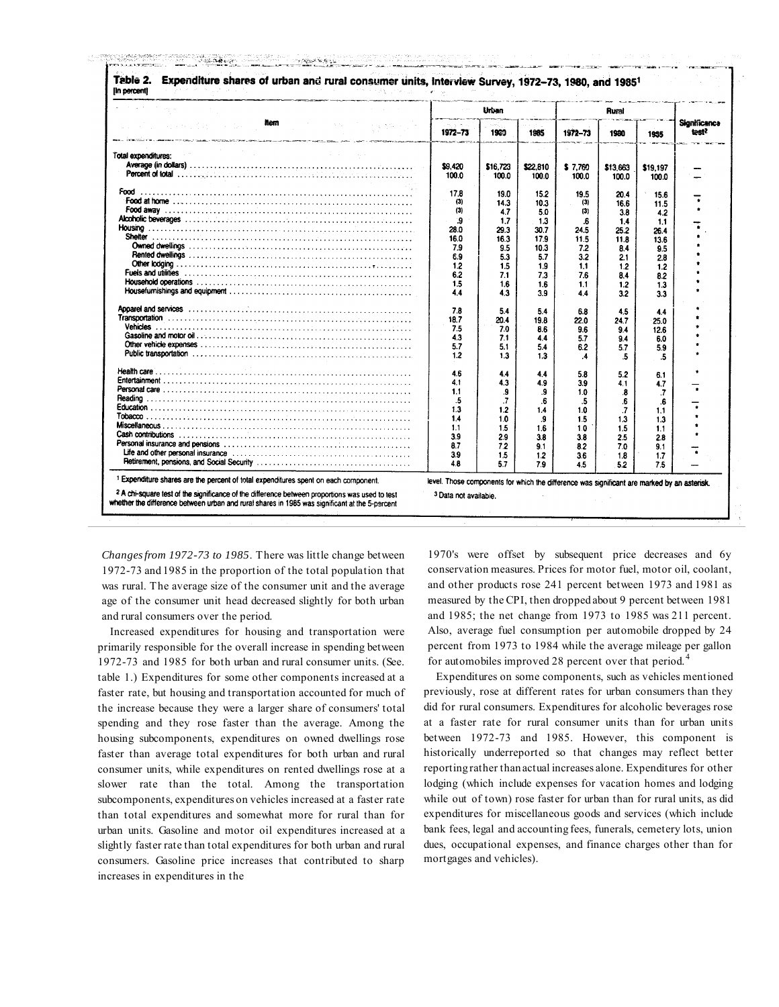|                                                                                                                                                                                                                                |                    | Urban      |                   |                  | Rural             |                   |                                          |
|--------------------------------------------------------------------------------------------------------------------------------------------------------------------------------------------------------------------------------|--------------------|------------|-------------------|------------------|-------------------|-------------------|------------------------------------------|
| <b>Rom</b><br>Carter.<br>and of the context for the day of<br>.<br>Марков и председательно с проставляется устройствующих состоительности составляется на составляется проставляе                                              | and the<br>1972-73 | 1960       | 1985              | 1972-73          | 1930              | 1935              | <b>Significance</b><br>test <sup>2</sup> |
| Total expenditures:                                                                                                                                                                                                            |                    |            |                   |                  |                   |                   |                                          |
|                                                                                                                                                                                                                                | \$9,420            | \$16,723   |                   |                  |                   |                   |                                          |
|                                                                                                                                                                                                                                | 100.0              | 100.0      | \$22,810<br>100.0 | \$7,760<br>100.0 | \$13,663<br>100.0 | \$19,197<br>100.0 |                                          |
| Food                                                                                                                                                                                                                           | 17.8               | 19.0       | 15.2              | 19.5             | 20.4              |                   |                                          |
|                                                                                                                                                                                                                                | (3)                | 14.3       | 10.3              | (3)              | 16.6              | 15.6              |                                          |
|                                                                                                                                                                                                                                | (3)                | 4.7        |                   | (3)              |                   | 11.5              |                                          |
|                                                                                                                                                                                                                                | و.                 | 1.7        | 5.0               |                  | 3.8               | 4.2               |                                          |
|                                                                                                                                                                                                                                | 28.0               |            | 1.3               | .6               | 1.4               | 1,1               |                                          |
|                                                                                                                                                                                                                                |                    | 29.3       | 30.7              | 24.5             | 25.2              | 26.4              |                                          |
|                                                                                                                                                                                                                                | 16.0               | 16.3       | 17.9              | 11.5             | 11.8              | 13.6              |                                          |
|                                                                                                                                                                                                                                | 7.9                | 9.5        | 10.3              | 7.2              | 8.4               | 9.5               |                                          |
|                                                                                                                                                                                                                                | 6.9                | 5.3        | 5.7               | 3.2              | 2.1               | 2.8               |                                          |
|                                                                                                                                                                                                                                | 1.2                | 1.5        | 1.9               | 1.1              | 1.2               | 1.2               |                                          |
|                                                                                                                                                                                                                                | 6.2                | 7.1        | 73                | 7.6              | 84                | 8.2               |                                          |
| Household operations with a contract of the contract of the contract of the contract of the contract of the contract of the contract of the contract of the contract of the contract of the contract of the contract of the co | 1.5                | 1.6        | 1.6               | 1.1              | 1.2               | 1.3               |                                          |
|                                                                                                                                                                                                                                | 4.4                | 4.3        | 3.9               | 44               | 3.2               | 3.3               |                                          |
|                                                                                                                                                                                                                                | 7.8                | 5.4        | 5.4               | 6.8              | 4.5               | 4.4               |                                          |
|                                                                                                                                                                                                                                | 18.7               | 20.4       | 19.8              | 22.0             | 24.7              | 25.0              |                                          |
|                                                                                                                                                                                                                                | 7.5                | 7.0        | 8.6               | 9.6              | 9.4               | 12.6              |                                          |
|                                                                                                                                                                                                                                | 43                 | 7.1        | 4.4               | 5.7              | 9.4               | 6.0               |                                          |
|                                                                                                                                                                                                                                | 5.7                | 5.1        | 5.4               | 6.2              | 5.7               | 5.9               |                                          |
|                                                                                                                                                                                                                                | 1.2                | 1.3        | 1.3               | .4               | .5                | .5                |                                          |
|                                                                                                                                                                                                                                | 4.6                | 4.4        |                   |                  |                   |                   |                                          |
|                                                                                                                                                                                                                                | 4.1                | 4.3        | 4.4<br>4.9        | 5.8<br>3.9       | 5.2<br>4.1        | 6.1               |                                          |
|                                                                                                                                                                                                                                | 1.1                | 9          |                   | 1.0              |                   | 4.7               |                                          |
|                                                                                                                                                                                                                                | .5                 | .7         | .9<br>.6          |                  | .8                | .7                |                                          |
|                                                                                                                                                                                                                                | 1.3                | 1.2        |                   | .5               | 6                 | .6                |                                          |
|                                                                                                                                                                                                                                | 1.4                |            | 1.4               | 1.0              | .7                | 1.1               |                                          |
|                                                                                                                                                                                                                                | 1.1                | 1.0<br>1.5 | 9.<br>1.6         | 1.5              | 1.3<br>1.5        | 1.3               |                                          |
| Cash contributions in the context of the context of the context of the context of the context of the context of the context of the context of the context of the context of the context of the context of the context of the c | 3.9                |            |                   | 1.0              |                   | 1.1               |                                          |
|                                                                                                                                                                                                                                | 8.7                | 2.9        | 3.8               | 3.8              | 2.5               | 2.8               |                                          |
| Life and other personal insurance contained and contained and contained and other personal insurance                                                                                                                           |                    | 7.2        | 9.1               | 8.2              | 7.0               | 9.1               |                                          |
|                                                                                                                                                                                                                                | 3.9<br>4.8         | 1.5<br>57  | 1.2<br>7.9        | 3.6<br>4.5       | 1.8<br>5.2        | 1.7<br>7.5        |                                          |
|                                                                                                                                                                                                                                |                    |            |                   |                  |                   |                   |                                          |

*Changes from 1972-73 to 1985*. There was little change between 1972-73 and 1985 in the proportion of the total population that was rural. The average size of the consumer unit and the average age of the consumer unit head decreased slightly for both urban and rural consumers over the period.

Increased expenditures for housing and transportation were primarily responsible for the overall increase in spending between 1972-73 and 1985 for both urban and rural consumer units. (See. table 1.) Expenditures for some other components increased at a faster rate, but housing and transportation accounted for much of the increase because they were a larger share of consumers' total spending and they rose faster than the average. Among the housing subcomponents, expenditures on owned dwellings rose faster than average total expenditures for both urban and rural consumer units, while expenditures on rented dwellings rose at a slower rate than the total. Among the transportation subcomponents, expenditures on vehicles increased at a faster rate than total expenditures and somewhat more for rural than for urban units. Gasoline and motor oil expenditures increased at a slightly faster rate than total expenditures for both urban and rural consumers. Gasoline price increases that contributed to sharp increases in expenditures in the

1970's were offset by subsequent price decreases and 6y conservation measures. Prices for motor fuel, motor oil, coolant, and other products rose 241 percent between 1973 and 1981 as measured by the CPI, then dropped about 9 percent between 1981 and 1985; the net change from 1973 to 1985 was 211 percent. Also, average fuel consumption per automobile dropped by 24 percent from 1973 to 1984 while the average mileage per gallon for automobiles improved 28 percent over that period.<sup>4</sup>

Expenditures on some components, such as vehicles mentioned previously, rose at different rates for urban consumers than they did for rural consumers. Expenditures for alcoholic beverages rose at a faster rate for rural consumer units than for urban units between 1972-73 and 1985. However, this component is historically underreported so that changes may reflect better reporting rather than actual increases alone. Expenditures for other lodging (which include expenses for vacation homes and lodging while out of town) rose faster for urban than for rural units, as did expenditures for miscellaneous goods and services (which include bank fees, legal and accounting fees, funerals, cemetery lots, union dues, occupational expenses, and finance charges other than for mortgages and vehicles).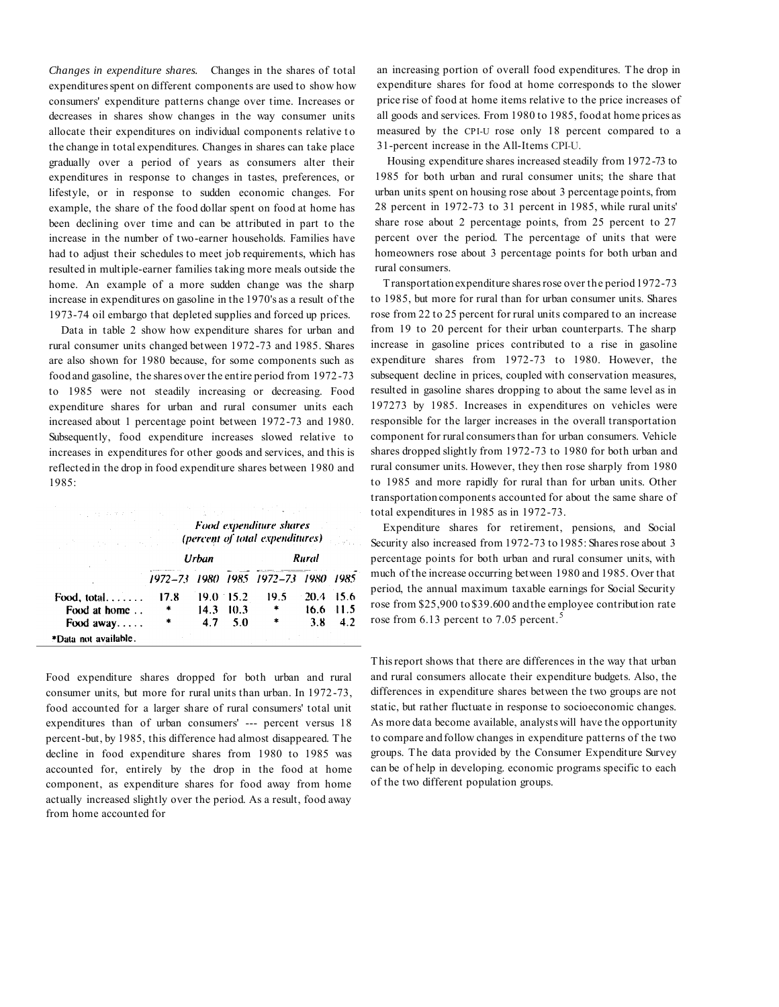*Changes in expenditure shares.* Changes in the shares of total expenditures spent on different components are used to show how consumers' expenditure patterns change over time. Increases or decreases in shares show changes in the way consumer units allocate their expenditures on individual components relative to the change in total expenditures. Changes in shares can take place gradually over a period of years as consumers alter their expenditures in response to changes in tastes, preferences, or lifestyle, or in response to sudden economic changes. For example, the share of the food dollar spent on food at home has been declining over time and can be attributed in part to the increase in the number of two-earner households. Families have had to adjust their schedules to meet job requirements, which has resulted in multiple-earner families taking more meals outside the home. An example of a more sudden change was the sharp increase in expenditures on gasoline in the 1970's as a result of the 1973-74 oil embargo that depleted supplies and forced up prices.

Data in table 2 show how expenditure shares for urban and rural consumer units changed between 1972-73 and 1985. Shares are also shown for 1980 because, for some components such as food and gasoline, the shares over the entire period from 1972-73 to 1985 were not steadily increasing or decreasing. Food expenditure shares for urban and rural consumer units each increased about 1 percentage point between 1972-73 and 1980. Subsequently, food expenditure increases slowed relative to increases in expenditures for other goods and services, and this is reflected in the drop in food expenditure shares between 1980 and 1985:

| stated and control of the           |      |       |             | Food expenditure shares<br>(percent of total expenditures) |       |             |
|-------------------------------------|------|-------|-------------|------------------------------------------------------------|-------|-------------|
|                                     |      | Urban |             |                                                            | Rural |             |
|                                     |      |       |             | 1972–73 1980 1985 1972–73 1980 1985                        |       |             |
| Food, total                         | 17.8 |       | $19.0$ 15.2 | 19.5                                                       | 20.4  | 15.6        |
| Food at home                        | *    | 14.3  | 10.3        | *                                                          |       | $16.6$ 11.5 |
| Food $away$<br>*Data not available. | *    | 4.7   | 5.0         | ٠                                                          | 3.8   | 4.2         |

in San Bar

Food expenditure shares dropped for both urban and rural consumer units, but more for rural units than urban. In 1972-73, food accounted for a larger share of rural consumers' total unit expenditures than of urban consumers' --- percent versus 18 percent-but, by 1985, this difference had almost disappeared. The decline in food expenditure shares from 1980 to 1985 was accounted for, entirely by the drop in the food at home component, as expenditure shares for food away from home actually increased slightly over the period. As a result, food away from home accounted for

an increasing portion of overall food expenditures. The drop in expenditure shares for food at home corresponds to the slower price rise of food at home items relative to the price increases of all goods and services. From 1980 to 1985, food at home prices as measured by the CPI-U rose only 18 percent compared to a 31-percent increase in the All-Items CPI-U.

Housing expenditure shares increased steadily from 1972-73 to 1985 for both urban and rural consumer units; the share that urban units spent on housing rose about 3 percentage points, from 28 percent in 1972-73 to 31 percent in 1985, while rural units' share rose about 2 percentage points, from 25 percent to 27 percent over the period. The percentage of units that were homeowners rose about 3 percentage points for both urban and rural consumers.

Transportation expenditure shares rose over the period 1972-73 to 1985, but more for rural than for urban consumer units. Shares rose from 22 to 25 percent for rural units compared to an increase from 19 to 20 percent for their urban counterparts. The sharp increase in gasoline prices contributed to a rise in gasoline expenditure shares from 1972-73 to 1980. However, the subsequent decline in prices, coupled with conservation measures, resulted in gasoline shares dropping to about the same level as in 197273 by 1985. Increases in expenditures on vehicles were responsible for the larger increases in the overall transportation component for rural consumers than for urban consumers. Vehicle shares dropped slightly from 1972-73 to 1980 for both urban and rural consumer units. However, they then rose sharply from 1980 to 1985 and more rapidly for rural than for urban units. Other transportation components accounted for about the same share of total expenditures in 1985 as in 1972-73.

Expenditure shares for retirement, pensions, and Social Security also increased from 1972-73 to 1985: Shares rose about 3 percentage points for both urban and rural consumer units, with much of the increase occurring between 1980 and 1985. Over that period, the annual maximum taxable earnings for Social Security rose from \$25,900 to \$39.600 and the employee contribution rate rose from 6.13 percent to 7.05 percent.<sup>5</sup>

This report shows that there are differences in the way that urban and rural consumers allocate their expenditure budgets. Also, the differences in expenditure shares between the two groups are not static, but rather fluctuate in response to socioeconomic changes. As more data become available, analysts will have the opportunity to compare and follow changes in expenditure patterns of the two groups. The data provided by the Consumer Expenditure Survey can be of help in developing. economic programs specific to each of the two different population groups.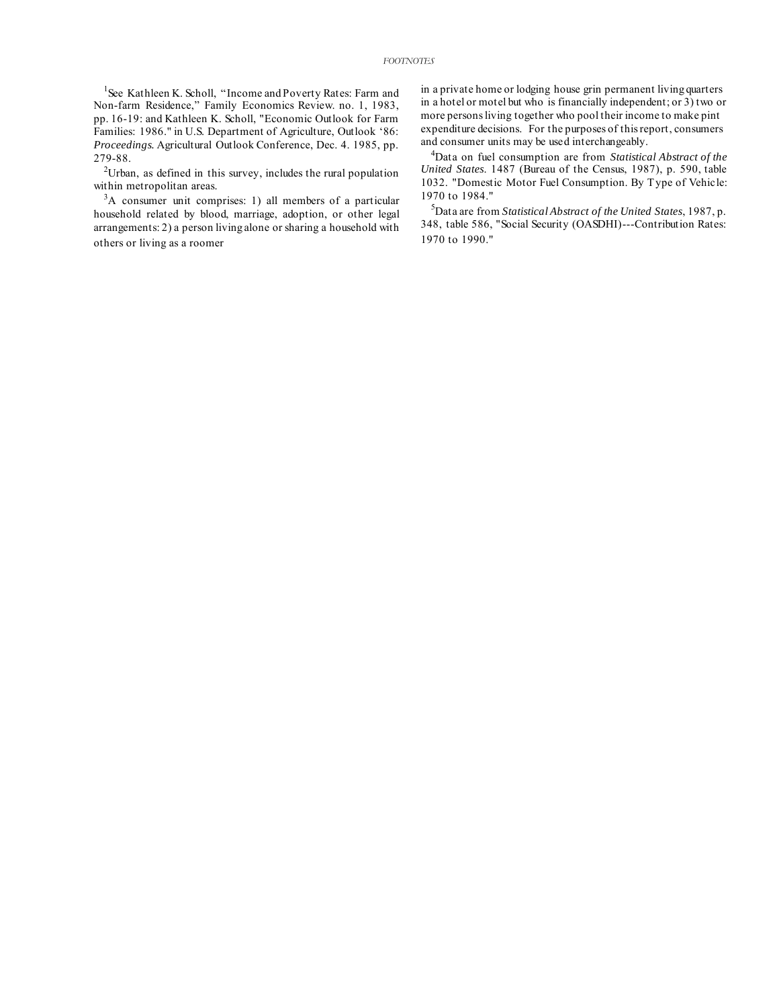<sup>1</sup>See Kathleen K. Scholl, "Income and Poverty Rates: Farm and Non-farm Residence," Family Economics Review. no. 1, 1983, pp. 16-19: and Kathleen K. Scholl, "Economic Outlook for Farm Families: 1986." in U.S. Department of Agriculture, Outlook '86: *Proceedings.* Agricultural Outlook Conference, Dec. 4. 1985, pp. 279-88.

 $2$ Urban, as defined in this survey, includes the rural population within metropolitan areas.

<sup>3</sup>A consumer unit comprises: 1) all members of a particular household related by blood, marriage, adoption, or other legal arrangements: 2) a person living alone or sharing a household with others or living as a roomer

in a private home or lodging house grin permanent living quarters in a hotel or motel but who is financially independent; or 3) two or more persons living together who pool their income to make pint expenditure decisions. For the purposes of this report, consumers and consumer units may be used interchangeably.

<sup>4</sup>Data on fuel consumption are from *Statistical Abstract of the United States*. 1487 (Bureau of the Census, 1987), p. 590, table 1032. "Domestic Motor Fuel Consumption. By Type of Vehicle: 1970 to 1984."

<sup>5</sup>Data are from *Statistical Abstract of the United States*, 1987, p. 348, table 586, "Social Security (OASDHI)---Contribution Rates: 1970 to 1990."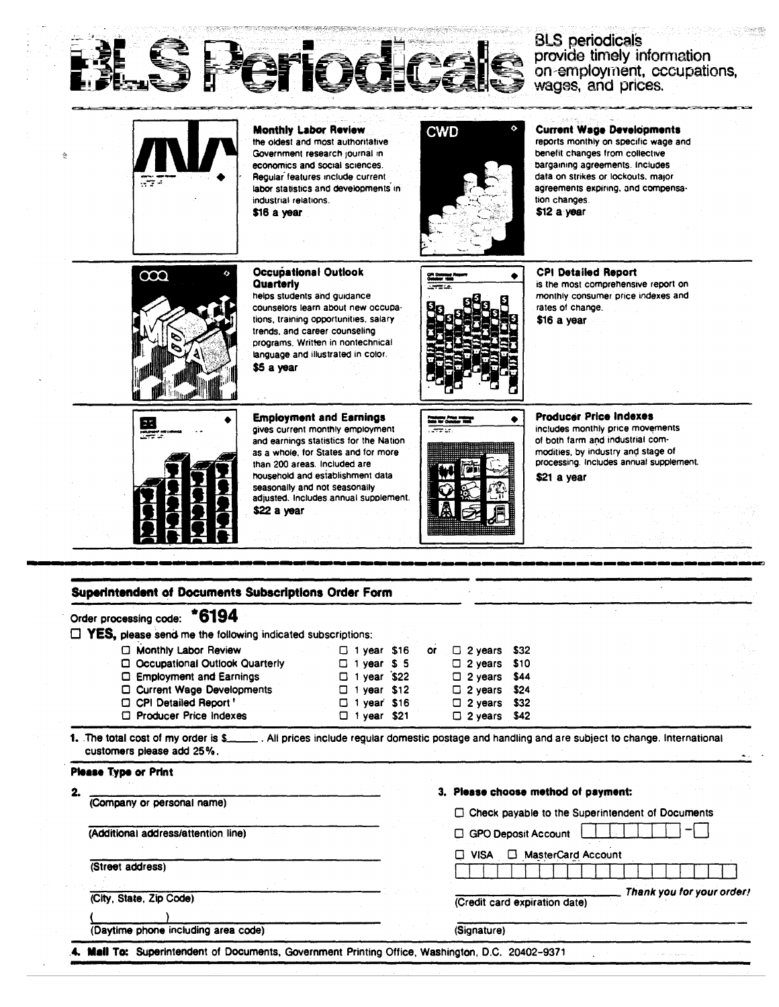

# BLS periodicals<br>provide timely information<br>on employment, cccupations,<br>wages, and prices.

| $\sqrt{2}$                                                                                                                                                                              | <b>Monthly Labor Review</b><br>the oldest and most authoritative<br>Government research journal in<br>economics and social sciences.<br>Regular features include current<br>labor statistics and developments in<br>industrial relations.<br>\$16 a year                                                         | <b>CWD</b>                                                                                                                                                          | <b>Current Wage Developments</b><br>reports monthly on specific wage and<br>benefit changes from collective<br>bargaining agreements. Includes<br>data on strikes or lockouts, major<br>agreements expiring, and compensa-<br>tion changes.<br>\$12 a year |
|-----------------------------------------------------------------------------------------------------------------------------------------------------------------------------------------|------------------------------------------------------------------------------------------------------------------------------------------------------------------------------------------------------------------------------------------------------------------------------------------------------------------|---------------------------------------------------------------------------------------------------------------------------------------------------------------------|------------------------------------------------------------------------------------------------------------------------------------------------------------------------------------------------------------------------------------------------------------|
| $\infty$                                                                                                                                                                                | <b>Occupational Outlook</b><br>Quarterly<br>helps students and guidance<br>counselors learn about new occupa-<br>tions, training opportunities, salary<br>trends, and career counseling<br>programs. Written in nontechnical<br>language and illustrated in color.<br>\$5 a year                                 |                                                                                                                                                                     | <b>CPI Detailed Report</b><br>is the most comprehensive report on<br>monthly consumer price indexes and<br>rates of change.<br>\$16 a year                                                                                                                 |
| 霊                                                                                                                                                                                       | <b>Employment and Earnings</b><br>gives current monthly employment<br>and earnings statistics for the Nation<br>as a whole, for States and for more<br>than 200 areas. Included are<br>household and establishment data<br>seasonally and not seasonally<br>adjusted. Includes annual supplement.<br>\$22 a year | in For                                                                                                                                                              | Producer Price Indexes<br>includes monthly price movements<br>of both farm and industrial com-<br>modities, by industry and stage of<br>processing. Includes annual supplement.<br>\$21 a year                                                             |
|                                                                                                                                                                                         |                                                                                                                                                                                                                                                                                                                  |                                                                                                                                                                     |                                                                                                                                                                                                                                                            |
|                                                                                                                                                                                         |                                                                                                                                                                                                                                                                                                                  |                                                                                                                                                                     |                                                                                                                                                                                                                                                            |
|                                                                                                                                                                                         |                                                                                                                                                                                                                                                                                                                  |                                                                                                                                                                     |                                                                                                                                                                                                                                                            |
| Superintendent of Documents Subscriptions Order Form<br>*6194<br>Order processing code:<br>$\Box$ YES, please send me the following indicated subscriptions:                            |                                                                                                                                                                                                                                                                                                                  |                                                                                                                                                                     |                                                                                                                                                                                                                                                            |
| Monthly Labor Review<br><b>Q</b> Occupational Outlook Quarterly<br>□ Employment and Earnings<br>□ Current Wage Developments<br>CPI Detailed Report '<br><b>C</b> Producer Price Indexes | $\square$ 1 year \$16<br>$\Box$ 1 year \$5<br>$\Box$ 1 year \$22<br>$\square$ 1 year \$12<br>$\square$ 1 year \$16<br>$\Box$ 1 year \$21                                                                                                                                                                         | \$32<br>$\square$ 2 years<br>or<br>\$10<br>□<br>2 years<br>\$44<br>$\square$ 2 years.<br>$\Box$ 2 years<br>\$24<br>$\Box$ 2 years<br>\$32<br>$\square$ 2 years \$42 |                                                                                                                                                                                                                                                            |
|                                                                                                                                                                                         |                                                                                                                                                                                                                                                                                                                  |                                                                                                                                                                     | 1. The total cost of my order is \$_______. All prices include regular domestic postage and handling and are subject to change. International                                                                                                              |
| customers please add 25%.                                                                                                                                                               |                                                                                                                                                                                                                                                                                                                  |                                                                                                                                                                     |                                                                                                                                                                                                                                                            |
| <b>Please Type or Print</b>                                                                                                                                                             |                                                                                                                                                                                                                                                                                                                  |                                                                                                                                                                     |                                                                                                                                                                                                                                                            |
| 2.<br>(Company or personal name)                                                                                                                                                        |                                                                                                                                                                                                                                                                                                                  |                                                                                                                                                                     | 3. Please choose method of payment:<br>□ Check payable to the Superintendent of Documents                                                                                                                                                                  |
| (Additional address/attention line)                                                                                                                                                     |                                                                                                                                                                                                                                                                                                                  | GPO Deposit Account                                                                                                                                                 |                                                                                                                                                                                                                                                            |
| (Street address)                                                                                                                                                                        |                                                                                                                                                                                                                                                                                                                  | $\Box$ VISA                                                                                                                                                         | MasterCard Account                                                                                                                                                                                                                                         |
|                                                                                                                                                                                         |                                                                                                                                                                                                                                                                                                                  |                                                                                                                                                                     |                                                                                                                                                                                                                                                            |
| (City, State, Zip Code)                                                                                                                                                                 |                                                                                                                                                                                                                                                                                                                  | (Credit card expiration date)                                                                                                                                       | Thank you for your order!                                                                                                                                                                                                                                  |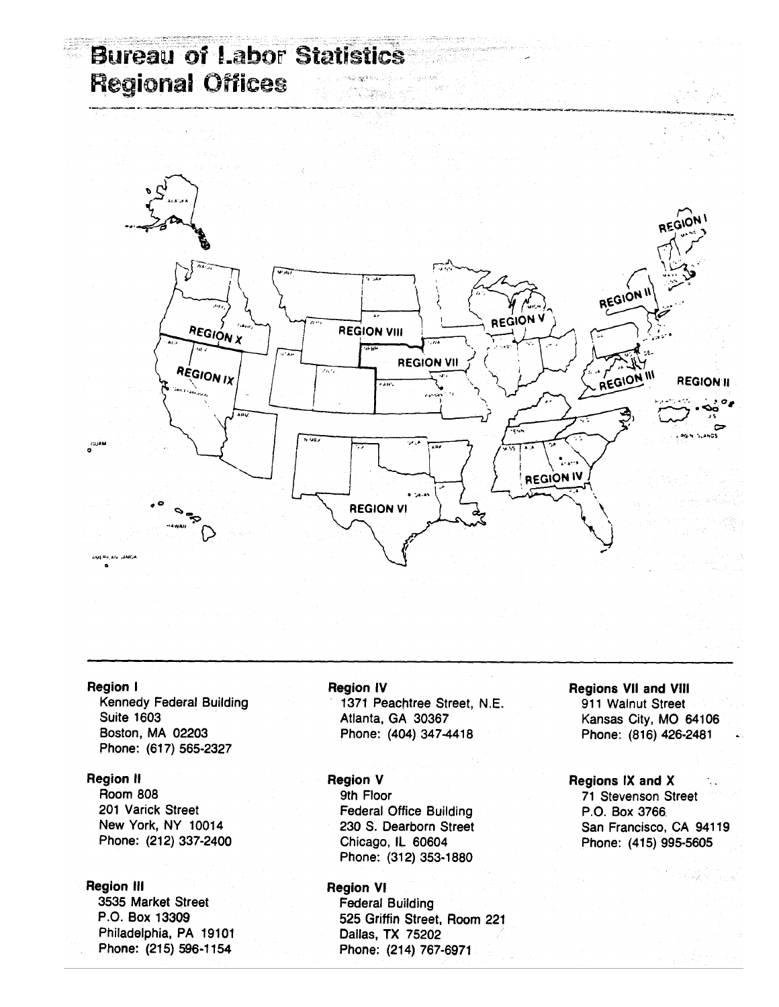## **Bureau of Labor Statistics Regional Offices**



#### **Region I**

**Kennedy Federal Building Suite 1603** Boston, MA 02203 Phone: (617) 565-2327

#### **Region II**

**Room 808** 201 Varick Street New York, NY 10014 Phone: (212) 337-2400

#### **Region III**

3535 Market Street P.O. Box 13309 Philadelphia, PA 19101 Phone: (215) 596-1154

#### **Region IV**

1371 Peachtree Street, N.E. Atlanta, GA 30367 Phone: (404) 347-4418

#### **Region V**

9th Floor **Federal Office Building** 230 S. Dearborn Street Chicago, IL 60604 Phone: (312) 353-1880

#### **Region VI**

**Federal Building** 525 Griffin Street, Room 221 Dallas, TX 75202 Phone: (214) 767-6971

## **Regions VII and VIII**

911 Walnut Street Kansas City, MO 64106 Phone: (816) 426-2481

#### Regions IX and X 71 Stevenson Street P.O. Box 3766. San Francisco, CA 94119 Phone: (415) 995-5605